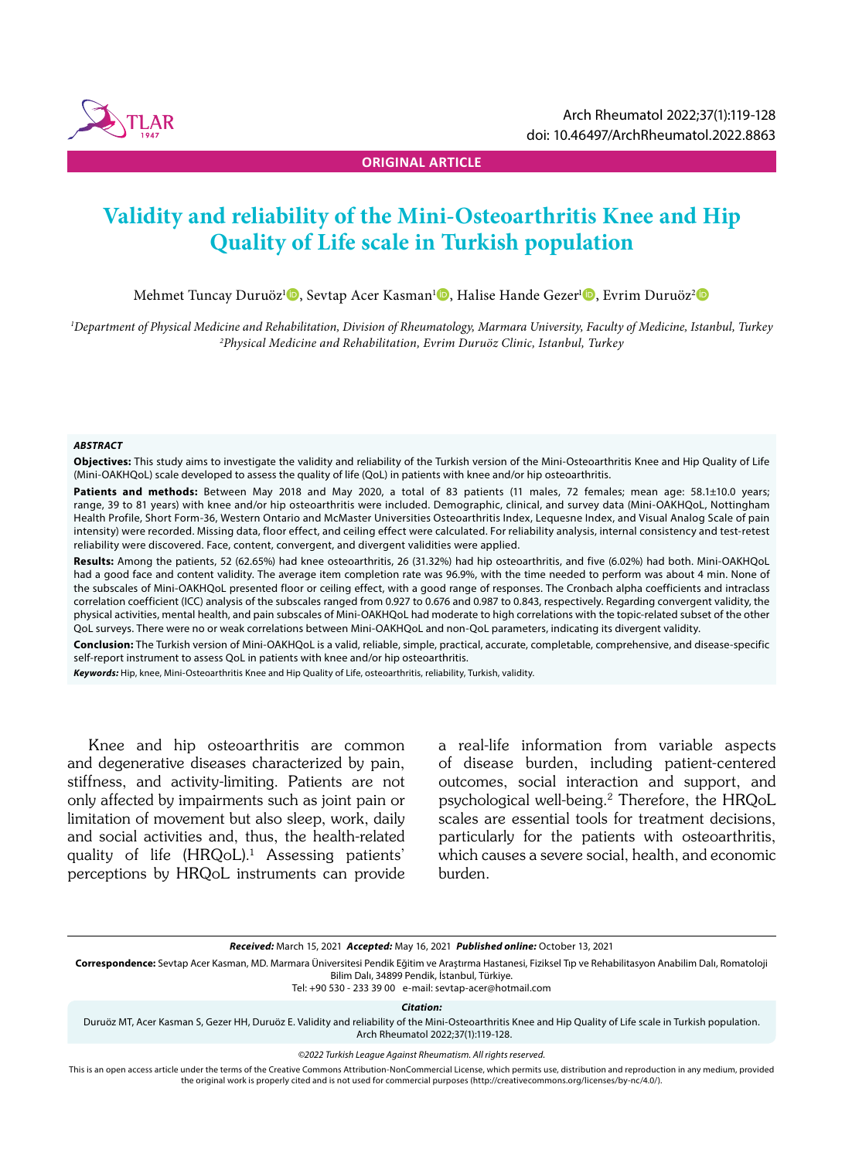

**ORIGINAL ARTICLE**

# **Validity and reliability of the Mini-Osteoarthritis Knee and Hip Quality of Life scale in Turkish population**

Mehmet Tuncay Duruöz<sup>ı</sup> D, Sevtap Acer Kasman<sup>ı</sup> D, Halise Hande Gezer<sup>ı</sup> D, Evrim Duruöz<sup>2</sup> D

*1 Department of Physical Medicine and Rehabilitation, Division of Rheumatology, Marmara University, Faculty of Medicine, Istanbul, Turkey 2 Physical Medicine and Rehabilitation, Evrim Duruöz Clinic, Istanbul, Turkey*

#### *ABSTRACT*

**Objectives:** This study aims to investigate the validity and reliability of the Turkish version of the Mini-Osteoarthritis Knee and Hip Quality of Life (Mini-OAKHQoL) scale developed to assess the quality of life (QoL) in patients with knee and/or hip osteoarthritis.

Patients and methods: Between May 2018 and May 2020, a total of 83 patients (11 males, 72 females; mean age: 58.1±10.0 years; range, 39 to 81 years) with knee and/or hip osteoarthritis were included. Demographic, clinical, and survey data (Mini-OAKHQoL, Nottingham Health Profile, Short Form-36, Western Ontario and McMaster Universities Osteoarthritis Index, Lequesne Index, and Visual Analog Scale of pain intensity) were recorded. Missing data, floor effect, and ceiling effect were calculated. For reliability analysis, internal consistency and test-retest reliability were discovered. Face, content, convergent, and divergent validities were applied.

**Results:** Among the patients, 52 (62.65%) had knee osteoarthritis, 26 (31.32%) had hip osteoarthritis, and five (6.02%) had both. Mini-OAKHQoL had a good face and content validity. The average item completion rate was 96.9%, with the time needed to perform was about 4 min. None of the subscales of Mini-OAKHQoL presented floor or ceiling effect, with a good range of responses. The Cronbach alpha coefficients and intraclass correlation coefficient (ICC) analysis of the subscales ranged from 0.927 to 0.676 and 0.987 to 0.843, respectively. Regarding convergent validity, the physical activities, mental health, and pain subscales of Mini-OAKHQoL had moderate to high correlations with the topic-related subset of the other QoL surveys. There were no or weak correlations between Mini-OAKHQoL and non-QoL parameters, indicating its divergent validity.

**Conclusion:** The Turkish version of Mini-OAKHQoL is a valid, reliable, simple, practical, accurate, completable, comprehensive, and disease-specific self-report instrument to assess QoL in patients with knee and/or hip osteoarthritis.

*Keywords:* Hip, knee, Mini-Osteoarthritis Knee and Hip Quality of Life, osteoarthritis, reliability, Turkish, validity.

Knee and hip osteoarthritis are common and degenerative diseases characterized by pain, stiffness, and activity-limiting. Patients are not only affected by impairments such as joint pain or limitation of movement but also sleep, work, daily and social activities and, thus, the health-related quality of life (HRQoL).1 Assessing patients' perceptions by HRQoL instruments can provide

a real-life information from variable aspects of disease burden, including patient-centered outcomes, social interaction and support, and psychological well-being.2 Therefore, the HRQoL scales are essential tools for treatment decisions, particularly for the patients with osteoarthritis, which causes a severe social, health, and economic burden.

*Received:* March 15, 2021 *Accepted:* May 16, 2021 *Published online:* October 13, 2021

**Correspondence:** Sevtap Acer Kasman, MD. Marmara Üniversitesi Pendik Eğitim ve Araştırma Hastanesi, Fiziksel Tıp ve Rehabilitasyon Anabilim Dalı, Romatoloji Bilim Dalı, 34899 Pendik, İstanbul, Türkiye.

Tel: +90 530 - 233 39 00 e-mail: sevtap-acer@hotmail.com

*Citation:*

Duruöz MT, Acer Kasman S, Gezer HH, Duruöz E. Validity and reliability of the Mini-Osteoarthritis Knee and Hip Quality of Life scale in Turkish population. Arch Rheumatol 2022;37(1):119-128.

*©2022 Turkish League Against Rheumatism. All rights reserved.*

This is an open access article under the terms of the Creative Commons Attribution-NonCommercial License, which permits use, distribution and reproduction in any medium, provided the original work is properly cited and is not used for commercial purposes (http://creativecommons.org/licenses/by-nc/4.0/).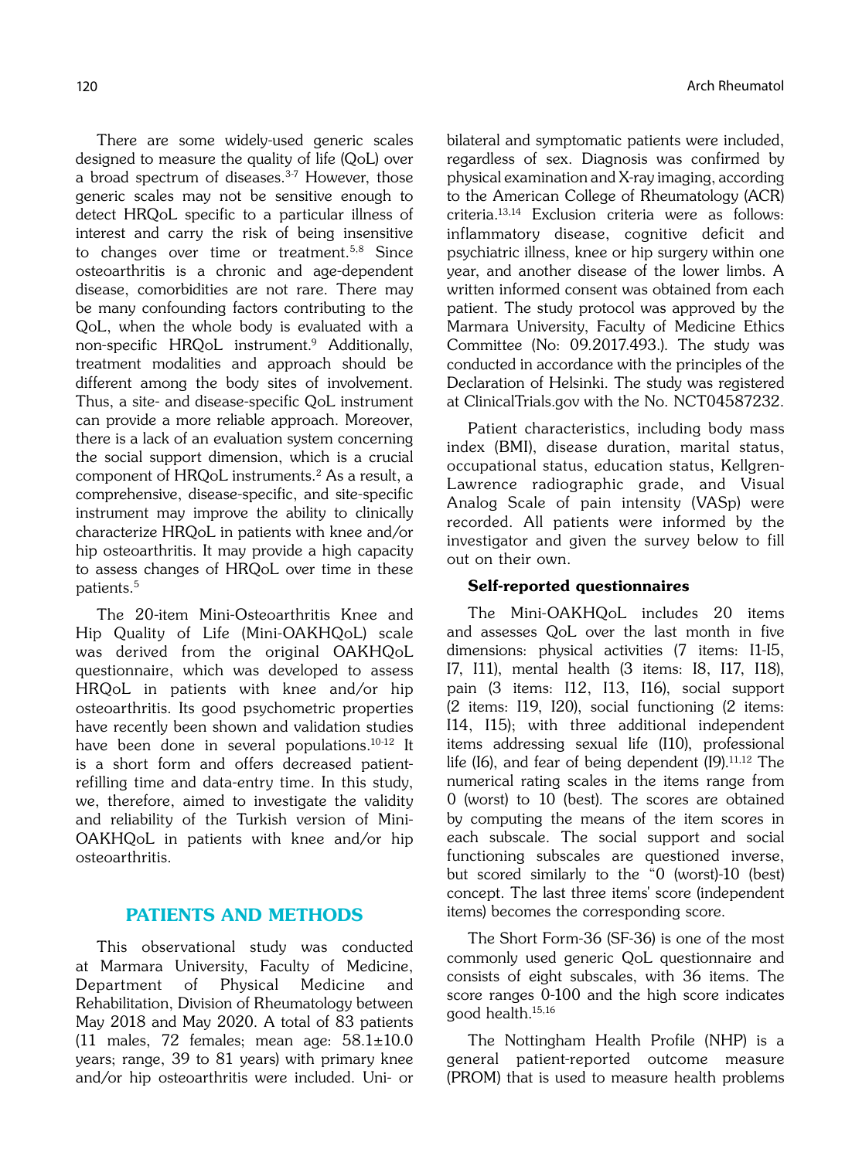There are some widely-used generic scales designed to measure the quality of life (QoL) over a broad spectrum of diseases.<sup>3-7</sup> However, those generic scales may not be sensitive enough to detect HRQoL specific to a particular illness of interest and carry the risk of being insensitive to changes over time or treatment.<sup>5,8</sup> Since osteoarthritis is a chronic and age-dependent disease, comorbidities are not rare. There may be many confounding factors contributing to the QoL, when the whole body is evaluated with a non-specific HRQoL instrument.9 Additionally, treatment modalities and approach should be different among the body sites of involvement. Thus, a site- and disease-specific QoL instrument can provide a more reliable approach. Moreover, there is a lack of an evaluation system concerning the social support dimension, which is a crucial component of HRQoL instruments.<sup>2</sup> As a result, a comprehensive, disease-specific, and site-specific instrument may improve the ability to clinically characterize HRQoL in patients with knee and/or hip osteoarthritis. It may provide a high capacity to assess changes of HRQoL over time in these patients.5

The 20-item Mini-Osteoarthritis Knee and Hip Quality of Life (Mini-OAKHQoL) scale was derived from the original OAKHQoL questionnaire, which was developed to assess HRQoL in patients with knee and/or hip osteoarthritis. Its good psychometric properties have recently been shown and validation studies have been done in several populations.<sup>10-12</sup> It is a short form and offers decreased patientrefilling time and data-entry time. In this study, we, therefore, aimed to investigate the validity and reliability of the Turkish version of Mini-OAKHQoL in patients with knee and/or hip osteoarthritis.

## PATIENTS AND METHODS

This observational study was conducted at Marmara University, Faculty of Medicine, Department of Physical Medicine and Rehabilitation, Division of Rheumatology between May 2018 and May 2020. A total of 83 patients (11 males, 72 females; mean age:  $58.1 \pm 10.0$ years; range, 39 to 81 years) with primary knee and/or hip osteoarthritis were included. Uni- or bilateral and symptomatic patients were included, regardless of sex. Diagnosis was confirmed by physical examination and X-ray imaging, according to the American College of Rheumatology (ACR) criteria.13,14 Exclusion criteria were as follows: inflammatory disease, cognitive deficit and psychiatric illness, knee or hip surgery within one year, and another disease of the lower limbs. A written informed consent was obtained from each patient. The study protocol was approved by the Marmara University, Faculty of Medicine Ethics Committee (No: 09.2017.493.). The study was conducted in accordance with the principles of the Declaration of Helsinki. The study was registered at ClinicalTrials.gov with the No. NCT04587232.

Patient characteristics, including body mass index (BMI), disease duration, marital status, occupational status, education status, Kellgren-Lawrence radiographic grade, and Visual Analog Scale of pain intensity (VASp) were recorded. All patients were informed by the investigator and given the survey below to fill out on their own.

#### Self-reported questionnaires

The Mini-OAKHQoL includes 20 items and assesses QoL over the last month in five dimensions: physical activities (7 items: I1-I5, I7, I11), mental health (3 items: I8, I17, I18), pain (3 items: I12, I13, I16), social support (2 items: I19, I20), social functioning (2 items: I14, I15); with three additional independent items addressing sexual life (I10), professional life (I6), and fear of being dependent (I9). $11,12$  The numerical rating scales in the items range from 0 (worst) to 10 (best). The scores are obtained by computing the means of the item scores in each subscale. The social support and social functioning subscales are questioned inverse, but scored similarly to the "0 (worst)-10 (best) concept. The last three items' score (independent items) becomes the corresponding score.

The Short Form-36 (SF-36) is one of the most commonly used generic QoL questionnaire and consists of eight subscales, with 36 items. The score ranges 0-100 and the high score indicates good health.15,16

The Nottingham Health Profile (NHP) is a general patient-reported outcome measure (PROM) that is used to measure health problems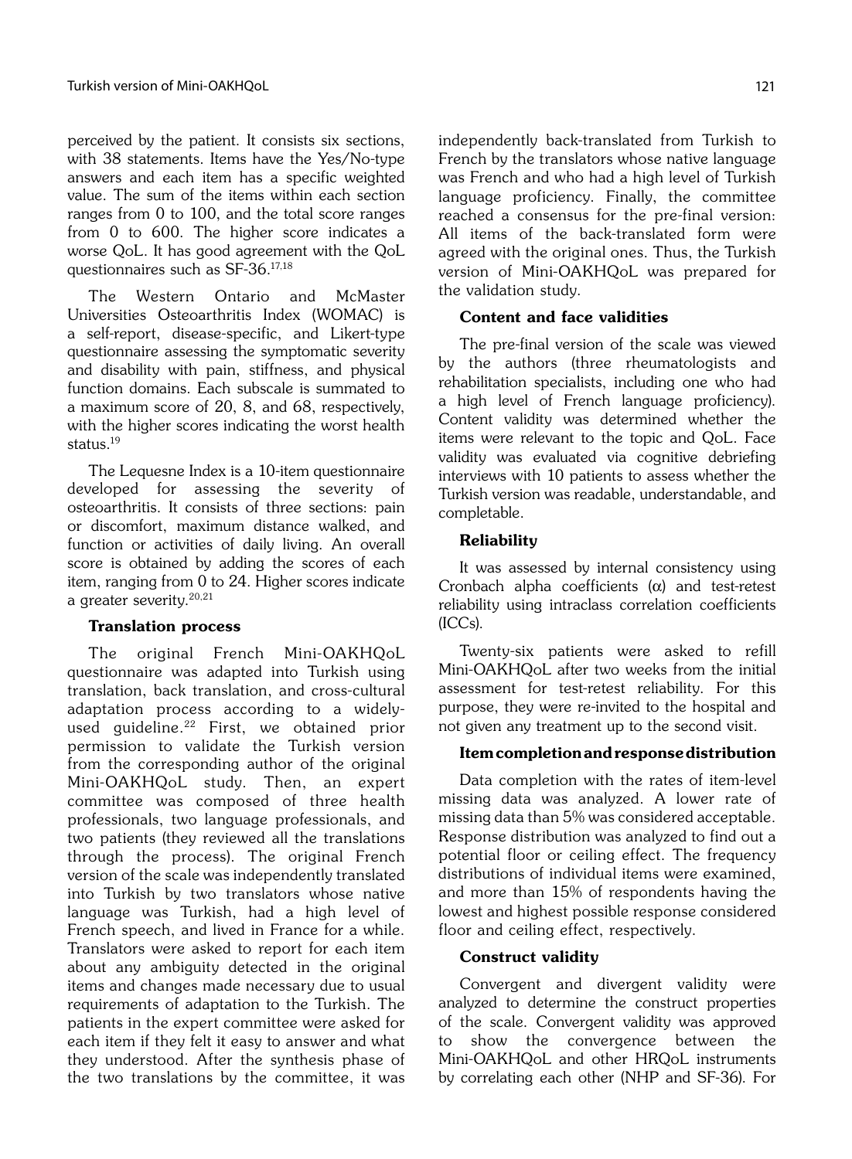perceived by the patient. It consists six sections, with 38 statements. Items have the Yes/No-type answers and each item has a specific weighted value. The sum of the items within each section ranges from 0 to 100, and the total score ranges from 0 to 600. The higher score indicates a worse QoL. It has good agreement with the QoL questionnaires such as SF-36.17,18

The Western Ontario and McMaster Universities Osteoarthritis Index (WOMAC) is a self-report, disease-specific, and Likert-type questionnaire assessing the symptomatic severity and disability with pain, stiffness, and physical function domains. Each subscale is summated to a maximum score of 20, 8, and 68, respectively, with the higher scores indicating the worst health status.19

The Lequesne Index is a 10-item questionnaire developed for assessing the severity of osteoarthritis. It consists of three sections: pain or discomfort, maximum distance walked, and function or activities of daily living. An overall score is obtained by adding the scores of each item, ranging from 0 to 24. Higher scores indicate a greater severity. $20,21$ 

#### Translation process

The original French Mini-OAKHQoL questionnaire was adapted into Turkish using translation, back translation, and cross-cultural adaptation process according to a widelyused guideline.<sup>22</sup> First, we obtained prior permission to validate the Turkish version from the corresponding author of the original Mini-OAKHQoL study. Then, an expert committee was composed of three health professionals, two language professionals, and two patients (they reviewed all the translations through the process). The original French version of the scale was independently translated into Turkish by two translators whose native language was Turkish, had a high level of French speech, and lived in France for a while. Translators were asked to report for each item about any ambiguity detected in the original items and changes made necessary due to usual requirements of adaptation to the Turkish. The patients in the expert committee were asked for each item if they felt it easy to answer and what they understood. After the synthesis phase of the two translations by the committee, it was

independently back-translated from Turkish to French by the translators whose native language was French and who had a high level of Turkish language proficiency. Finally, the committee reached a consensus for the pre-final version: All items of the back-translated form were agreed with the original ones. Thus, the Turkish version of Mini-OAKHQoL was prepared for the validation study.

## Content and face validities

The pre-final version of the scale was viewed by the authors (three rheumatologists and rehabilitation specialists, including one who had a high level of French language proficiency). Content validity was determined whether the items were relevant to the topic and QoL. Face validity was evaluated via cognitive debriefing interviews with 10 patients to assess whether the Turkish version was readable, understandable, and completable.

## **Reliability**

It was assessed by internal consistency using Cronbach alpha coefficients  $(\alpha)$  and test-retest reliability using intraclass correlation coefficients (ICCs).

Twenty-six patients were asked to refill Mini-OAKHQoL after two weeks from the initial assessment for test-retest reliability. For this purpose, they were re-invited to the hospital and not given any treatment up to the second visit.

## Item completion and response distribution

Data completion with the rates of item-level missing data was analyzed. A lower rate of missing data than 5% was considered acceptable. Response distribution was analyzed to find out a potential floor or ceiling effect. The frequency distributions of individual items were examined, and more than 15% of respondents having the lowest and highest possible response considered floor and ceiling effect, respectively.

## Construct validity

Convergent and divergent validity were analyzed to determine the construct properties of the scale. Convergent validity was approved to show the convergence between the Mini-OAKHQoL and other HRQoL instruments by correlating each other (NHP and SF-36). For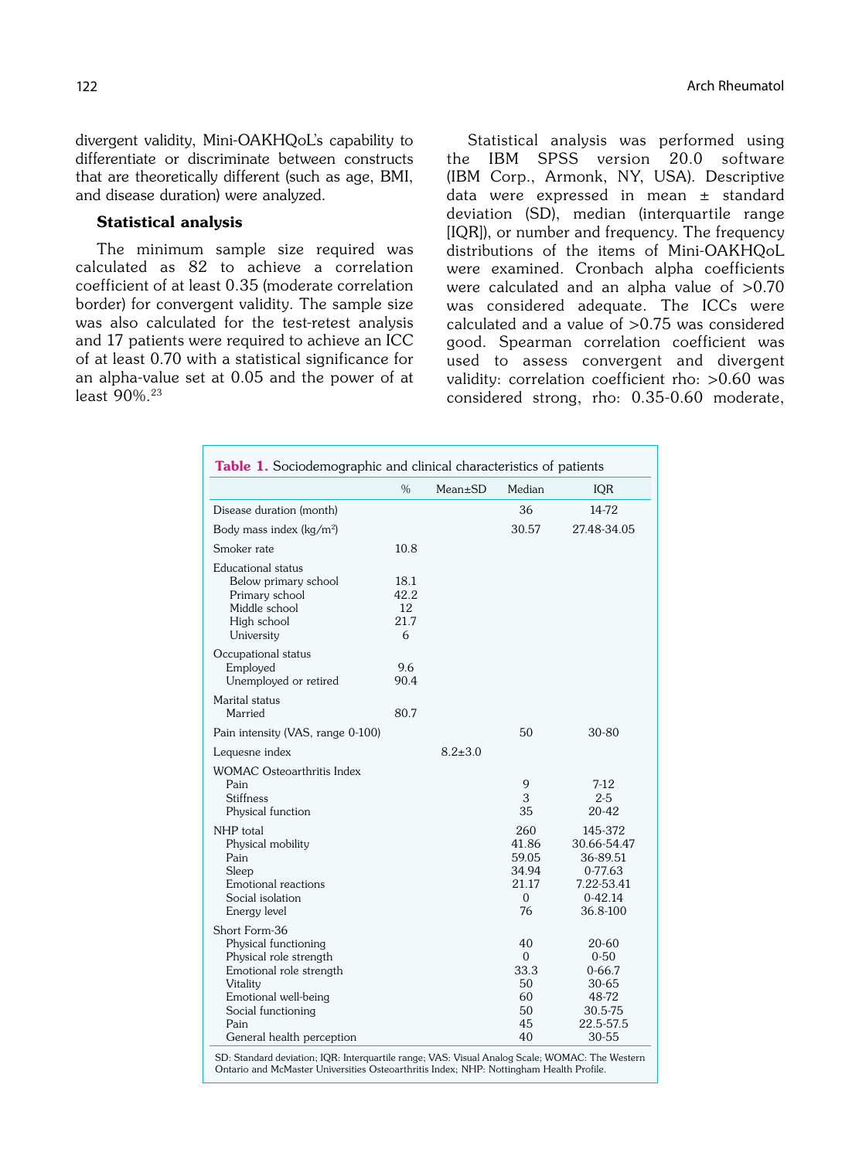divergent validity, Mini-OAKHQoL's capability to differentiate or discriminate between constructs that are theoretically different (such as age, BMI, and disease duration) were analyzed.

#### Statistical analysis

The minimum sample size required was calculated as 82 to achieve a correlation coefficient of at least 0.35 (moderate correlation border) for convergent validity. The sample size was also calculated for the test-retest analysis and 17 patients were required to achieve an ICC of at least 0.70 with a statistical significance for an alpha-value set at 0.05 and the power of at least 90%.23

Statistical analysis was performed using the IBM SPSS version 20.0 software (IBM Corp., Armonk, NY, USA). Descriptive data were expressed in mean ± standard deviation (SD), median (interquartile range [IQR]), or number and frequency. The frequency distributions of the items of Mini-OAKHQoL were examined. Cronbach alpha coefficients were calculated and an alpha value of  $>0.70$ was considered adequate. The ICCs were calculated and a value of >0.75 was considered good. Spearman correlation coefficient was used to assess convergent and divergent validity: correlation coefficient rho: >0.60 was considered strong, rho: 0.35-0.60 moderate,

|                                                                                                                                                                                           | $\frac{0}{0}$                   | $Mean \pm SD$ | Median                                                     | <b>IQR</b>                                                                           |
|-------------------------------------------------------------------------------------------------------------------------------------------------------------------------------------------|---------------------------------|---------------|------------------------------------------------------------|--------------------------------------------------------------------------------------|
| Disease duration (month)                                                                                                                                                                  |                                 |               | 36                                                         | 14-72                                                                                |
| Body mass index (kg/m <sup>2</sup> )                                                                                                                                                      |                                 |               | 30.57                                                      | 27.48-34.05                                                                          |
| Smoker rate                                                                                                                                                                               | 10.8                            |               |                                                            |                                                                                      |
| Educational status<br>Below primary school<br>Primary school<br>Middle school<br>High school<br>University                                                                                | 18.1<br>42.2<br>12<br>21.7<br>6 |               |                                                            |                                                                                      |
| Occupational status<br>Employed<br>Unemployed or retired                                                                                                                                  | 9.6<br>90.4                     |               |                                                            |                                                                                      |
| Marital status<br>Married                                                                                                                                                                 | 80.7                            |               |                                                            |                                                                                      |
| Pain intensity (VAS, range 0-100)                                                                                                                                                         |                                 |               | 50                                                         | 30-80                                                                                |
| Lequesne index                                                                                                                                                                            |                                 | $8.2 \pm 3.0$ |                                                            |                                                                                      |
| <b>WOMAC Osteoarthritis Index</b><br>Pain<br><b>Stiffness</b><br>Physical function                                                                                                        |                                 |               | 9<br>3<br>35                                               | $7-12$<br>$2 - 5$<br>20-42                                                           |
| NHP total<br>Physical mobility<br>Pain<br>Sleep<br>Emotional reactions<br>Social isolation<br>Energy level                                                                                |                                 |               | 260<br>41.86<br>59.05<br>34.94<br>21.17<br>$\Omega$<br>76  | 145-372<br>30.66-54.47<br>36-89.51<br>0-77.63<br>7.22-53.41<br>$0-42.14$<br>36.8-100 |
| Short Form-36<br>Physical functioning<br>Physical role strength<br>Emotional role strength<br>Vitality<br>Emotional well-being<br>Social functioning<br>Pain<br>General health perception |                                 |               | 40<br>$\overline{0}$<br>33.3<br>50<br>60<br>50<br>45<br>40 | 20-60<br>$0 - 50$<br>$0 - 66.7$<br>30-65<br>48-72<br>30.5-75<br>22.5-57.5<br>30-55   |

SD: Standard deviation; IQR: Interquartile range; VAS: Visual Analog Scale; WOMAC: The Western Ontario and McMaster Universities Osteoarthritis Index; NHP: Nottingham Health Profile.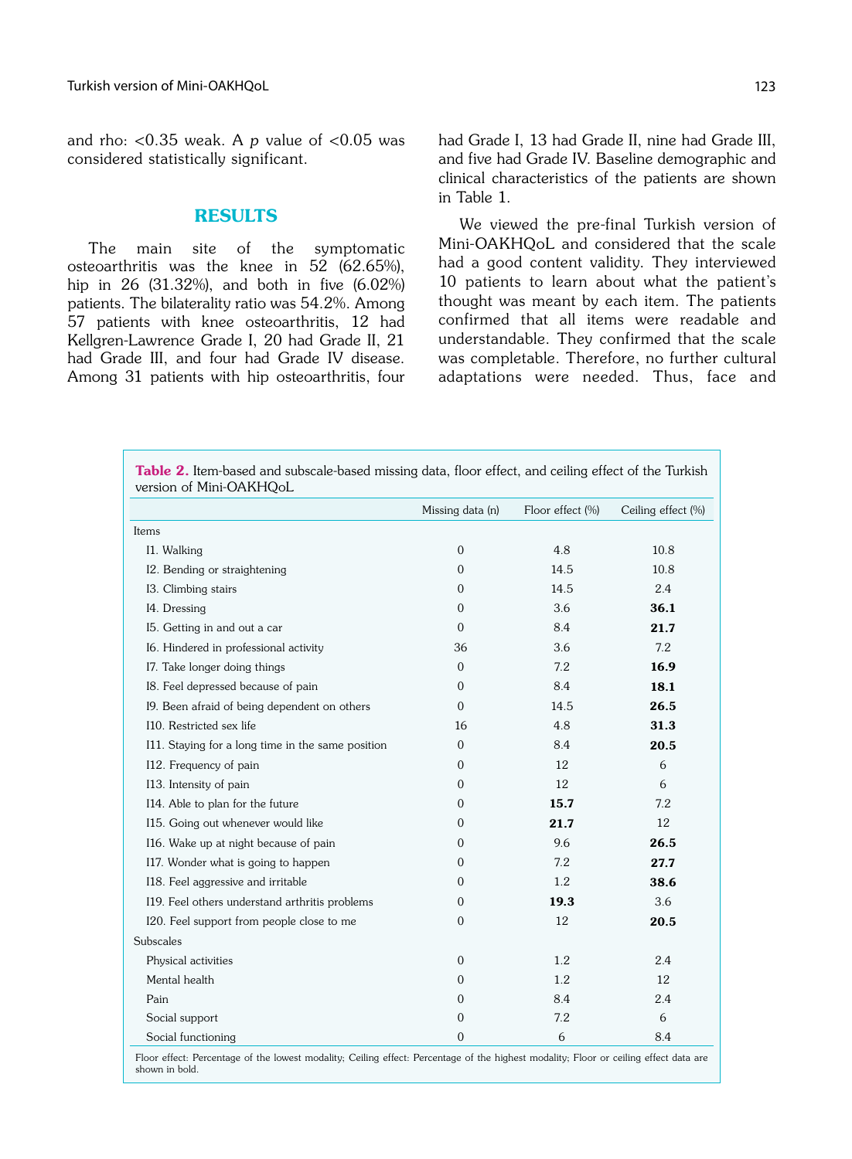and rho: <0.35 weak. A p value of  $< 0.05$  was considered statistically significant.

## RESULTS

The main site of the symptomatic osteoarthritis was the knee in 52 (62.65%), hip in 26 (31.32%), and both in five (6.02%) patients. The bilaterality ratio was 54.2%. Among 57 patients with knee osteoarthritis, 12 had Kellgren-Lawrence Grade I, 20 had Grade II, 21 had Grade III, and four had Grade IV disease. Among 31 patients with hip osteoarthritis, four had Grade I, 13 had Grade II, nine had Grade III, and five had Grade IV. Baseline demographic and clinical characteristics of the patients are shown in Table 1.

We viewed the pre-final Turkish version of Mini-OAKHQoL and considered that the scale had a good content validity. They interviewed 10 patients to learn about what the patient's thought was meant by each item. The patients confirmed that all items were readable and understandable. They confirmed that the scale was completable. Therefore, no further cultural adaptations were needed. Thus, face and

|                                                   | Missing data (n) | Floor effect (%) | Ceiling effect (%) |
|---------------------------------------------------|------------------|------------------|--------------------|
| Items                                             |                  |                  |                    |
| I1. Walking                                       | $\boldsymbol{0}$ | 4.8              | 10.8               |
| I2. Bending or straightening                      | 0                | 14.5             | 10.8               |
| 13. Climbing stairs                               | 0                | 14.5             | 2.4                |
| I4. Dressing                                      | 0                | 3.6              | 36.1               |
| 15. Getting in and out a car                      | $\mathbf{0}$     | 8.4              | 21.7               |
| 16. Hindered in professional activity             | 36               | 3.6              | 7.2                |
| 17. Take longer doing things                      | $\mathbf{0}$     | 7.2              | 16.9               |
| I8. Feel depressed because of pain                | 0                | 8.4              | 18.1               |
| 19. Been afraid of being dependent on others      | $\mathbf{0}$     | 14.5             | 26.5               |
| I10. Restricted sex life                          | 16               | 4.8              | 31.3               |
| I11. Staying for a long time in the same position | $\mathbf{0}$     | 8.4              | 20.5               |
| I12. Frequency of pain                            | $\Omega$         | 12               | 6                  |
| I13. Intensity of pain                            | 0                | 12               | 6                  |
| I14. Able to plan for the future                  | 0                | 15.7             | 7.2                |
| I15. Going out whenever would like                | 0                | 21.7             | 12                 |
| 116. Wake up at night because of pain             | 0                | 9.6              | 26.5               |
| I17. Wonder what is going to happen               | 0                | 7.2              | 27.7               |
| I18. Feel aggressive and irritable                | 0                | 1.2              | 38.6               |
| I19. Feel others understand arthritis problems    | 0                | 19.3             | 3.6                |
| I20. Feel support from people close to me         | 0                | 12               | 20.5               |
| Subscales                                         |                  |                  |                    |
| Physical activities                               | 0                | 1.2              | 2.4                |
| Mental health                                     | 0                | 1.2              | 12                 |
| Pain                                              | 0                | 8.4              | 2.4                |
| Social support                                    | 0                | 7.2              | 6                  |
| Social functioning                                | 0                | 6                | 8.4                |

Floor effect: Percentage of the lowest modality; Ceiling effect: Percentage of the highest modality; Floor or ceiling effect data are shown in bold.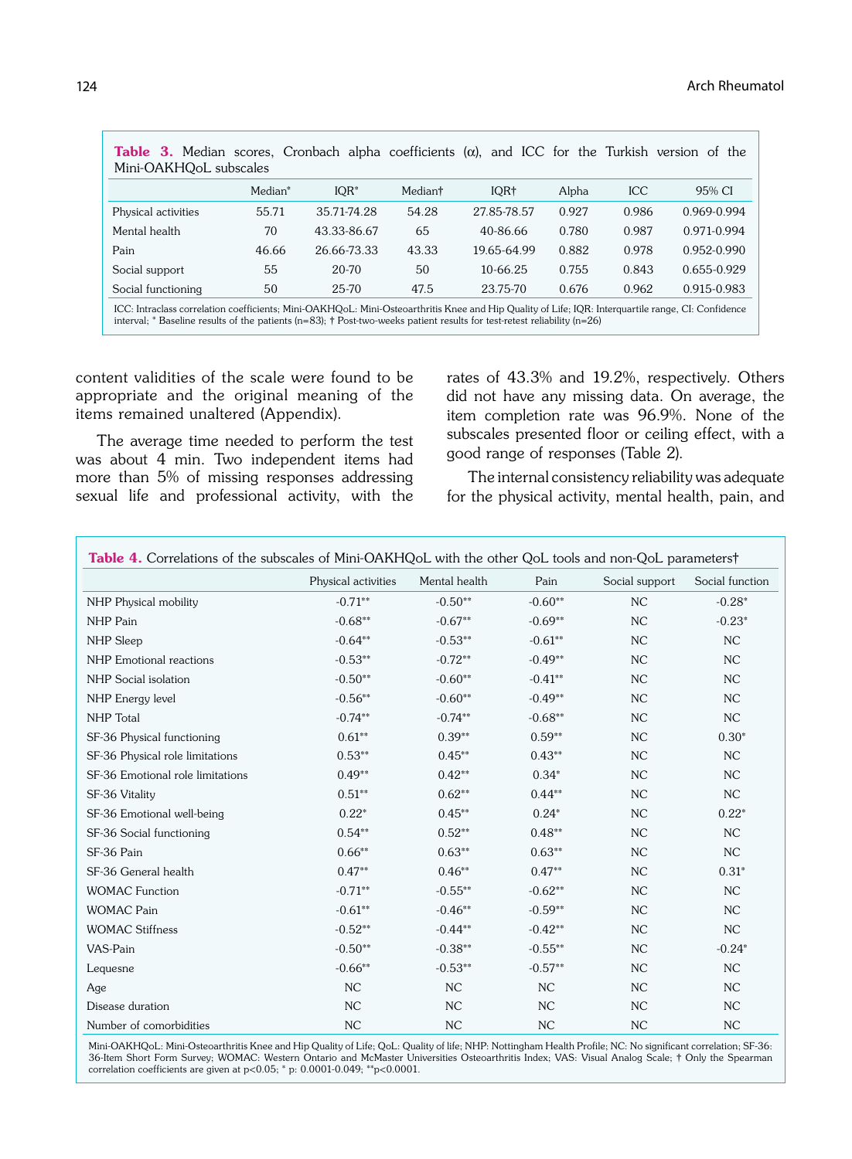| <b>Table 3.</b> Median scores, Cronbach alpha coefficients ( $\alpha$ ), and ICC for the Turkish version of the<br>Mini-OAKHQoL subscales                                                                                                                                              |         |             |         |             |       |            |                 |  |
|----------------------------------------------------------------------------------------------------------------------------------------------------------------------------------------------------------------------------------------------------------------------------------------|---------|-------------|---------|-------------|-------|------------|-----------------|--|
|                                                                                                                                                                                                                                                                                        | Median* | $IQR^*$     | Mediant | IQR+        | Alpha | <b>ICC</b> | 95% CI          |  |
| Physical activities                                                                                                                                                                                                                                                                    | 55.71   | 35.71-74.28 | 54.28   | 27.85-78.57 | 0.927 | 0.986      | $0.969 - 0.994$ |  |
| Mental health                                                                                                                                                                                                                                                                          | 70      | 43.33-86.67 | 65      | 40-86.66    | 0.780 | 0.987      | 0.971-0.994     |  |
| Pain                                                                                                                                                                                                                                                                                   | 46.66   | 26.66-73.33 | 43.33   | 19.65-64.99 | 0.882 | 0.978      | $0.952 - 0.990$ |  |
| Social support                                                                                                                                                                                                                                                                         | 55      | 20-70       | 50      | 10-66.25    | 0.755 | 0.843      | $0.655 - 0.929$ |  |
| Social functioning                                                                                                                                                                                                                                                                     | 50      | 25-70       | 47.5    | 23.75-70    | 0.676 | 0.962      | 0.915-0.983     |  |
| ICC: Intraclass correlation coefficients; Mini-OAKHQoL: Mini-Osteoarthritis Knee and Hip Quality of Life; IQR: Interguartile range, CI: Confidence<br>interval; * Baseline results of the patients ( $n=83$ ); † Post-two-weeks patient results for test-retest reliability ( $n=26$ ) |         |             |         |             |       |            |                 |  |

content validities of the scale were found to be appropriate and the original meaning of the items remained unaltered (Appendix).

The average time needed to perform the test was about 4 min. Two independent items had more than 5% of missing responses addressing sexual life and professional activity, with the rates of 43.3% and 19.2%, respectively. Others did not have any missing data. On average, the item completion rate was 96.9%. None of the subscales presented floor or ceiling effect, with a good range of responses (Table 2).

The internal consistency reliability was adequate for the physical activity, mental health, pain, and

|                                  | Physical activities | Mental health | Pain       | Social support | Social function |
|----------------------------------|---------------------|---------------|------------|----------------|-----------------|
| NHP Physical mobility            | $-0.71**$           | $-0.50**$     | $-0.60**$  | NC             | $-0.28*$        |
| NHP Pain                         | $-0.68**$           | $-0.67**$     | $-0.69**$  | NC             | $-0.23*$        |
| NHP Sleep                        | $-0.64**$           | $-0.53**$     | $-0.61**$  | NC             | NC              |
| NHP Emotional reactions          | $-0.53**$           | $-0.72**$     | $-0.49**$  | NC             | NC              |
| NHP Social isolation             | $-0.50**$           | $-0.60**$     | $-0.41**$  | NC             | NC              |
| NHP Energy level                 | $-0.56**$           | $-0.60**$     | $-0.49**$  | NC             | NC              |
| <b>NHP</b> Total                 | $-0.74**$           | $-0.74**$     | $-0.68**$  | NC             | NC              |
| SF-36 Physical functioning       | $0.61**$            | $0.39**$      | $0.59**$   | NC             | $0.30*$         |
| SF-36 Physical role limitations  | $0.53**$            | $0.45***$     | $0.43**$   | NC             | NC              |
| SF-36 Emotional role limitations | $0.49**$            | $0.42**$      | $0.34*$    | NC             | NC              |
| SF-36 Vitality                   | $0.51**$            | $0.62**$      | $0.44**$   | NC             | NC              |
| SF-36 Emotional well-being       | $0.22*$             | $0.45**$      | $0.24*$    | NC             | $0.22*$         |
| SF-36 Social functioning         | $0.54**$            | $0.52**$      | $0.48**$   | NC             | NC              |
| SF-36 Pain                       | $0.66**$            | $0.63**$      | $0.63**$   | NC             | NC              |
| SF-36 General health             | $0.47**$            | $0.46**$      | $0.47**$   | NC             | $0.31*$         |
| <b>WOMAC Function</b>            | $-0.71**$           | $-0.55***$    | $-0.62**$  | NC             | NC              |
| <b>WOMAC Pain</b>                | $-0.61**$           | $-0.46**$     | $-0.59**$  | NC             | NC              |
| <b>WOMAC Stiffness</b>           | $-0.52**$           | $-0.44**$     | $-0.42**$  | NC             | NC              |
| VAS-Pain                         | $-0.50**$           | $-0.38**$     | $-0.55***$ | NC             | $-0.24*$        |
| Lequesne                         | $-0.66**$           | $-0.53**$     | $-0.57**$  | NC             | NC              |
| Age                              | NC                  | NC            | NC         | NC             | NC              |
| Disease duration                 | NC                  | NC            | NC         | NC             | NC              |
| Number of comorbidities          | NC                  | NC            | NC         | NC             | NC              |

Mini-OAKHQoL: Mini-Osteoarthritis Knee and Hip Quality of Life; QoL: Quality of life; NHP: Nottingham Health Profile; NC: No significant correlation; SF-36: 36-Item Short Form Survey; WOMAC: Western Ontario and McMaster Universities Osteoarthritis Index; VAS: Visual Analog Scale; † Only the Spearman correlation coefficients are given at p<0.05; \* p: 0.0001-0.049; \*\*p<0.0001.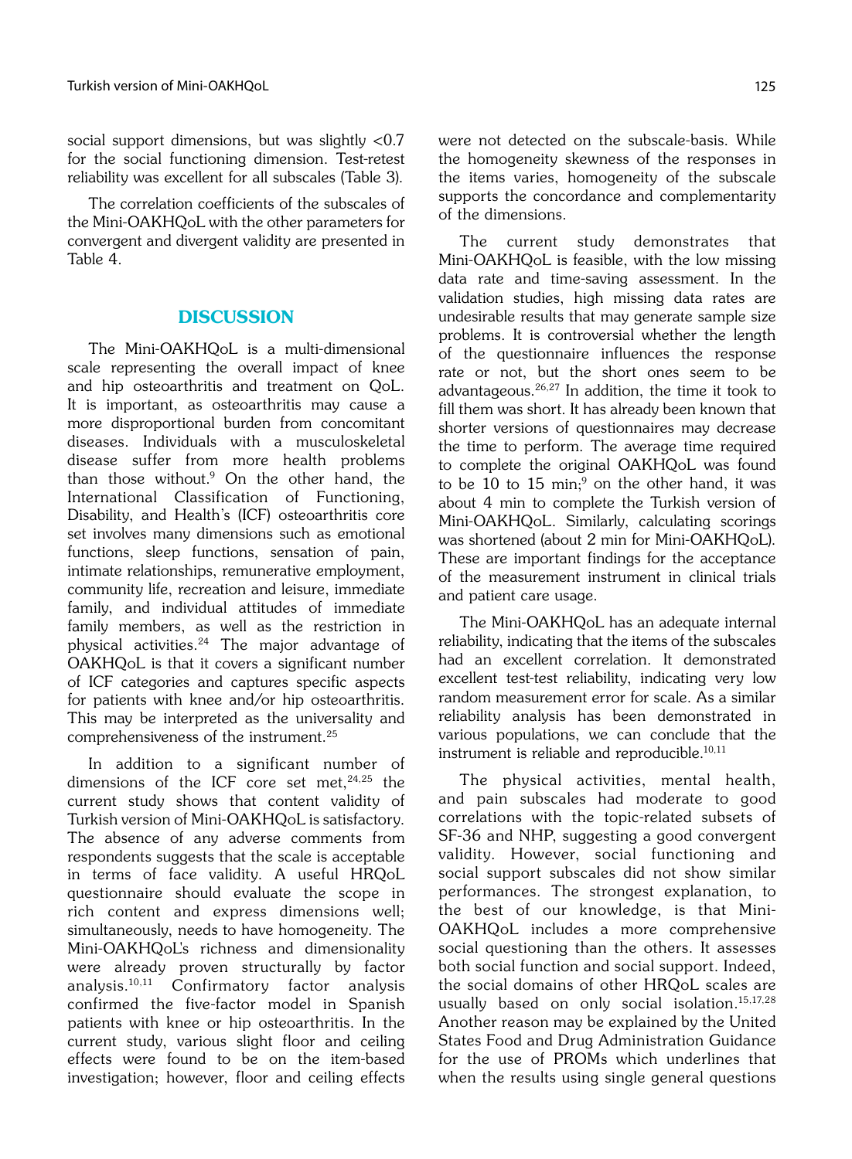social support dimensions, but was slightly <0.7 for the social functioning dimension. Test-retest reliability was excellent for all subscales (Table 3).

The correlation coefficients of the subscales of the Mini-OAKHQoL with the other parameters for convergent and divergent validity are presented in Table 4.

## **DISCUSSION**

The Mini-OAKHQoL is a multi-dimensional scale representing the overall impact of knee and hip osteoarthritis and treatment on QoL. It is important, as osteoarthritis may cause a more disproportional burden from concomitant diseases. Individuals with a musculoskeletal disease suffer from more health problems than those without.9 On the other hand, the International Classification of Functioning, Disability, and Health's (ICF) osteoarthritis core set involves many dimensions such as emotional functions, sleep functions, sensation of pain, intimate relationships, remunerative employment, community life, recreation and leisure, immediate family, and individual attitudes of immediate family members, as well as the restriction in physical activities.24 The major advantage of OAKHQoL is that it covers a significant number of ICF categories and captures specific aspects for patients with knee and/or hip osteoarthritis. This may be interpreted as the universality and comprehensiveness of the instrument.25

In addition to a significant number of dimensions of the ICF core set met, 24,25 the current study shows that content validity of Turkish version of Mini-OAKHQoL is satisfactory. The absence of any adverse comments from respondents suggests that the scale is acceptable in terms of face validity. A useful HRQoL questionnaire should evaluate the scope in rich content and express dimensions well; simultaneously, needs to have homogeneity. The Mini-OAKHQoL's richness and dimensionality were already proven structurally by factor analysis.10,11 Confirmatory factor analysis confirmed the five-factor model in Spanish patients with knee or hip osteoarthritis. In the current study, various slight floor and ceiling effects were found to be on the item-based investigation; however, floor and ceiling effects were not detected on the subscale-basis. While the homogeneity skewness of the responses in the items varies, homogeneity of the subscale supports the concordance and complementarity of the dimensions.

The current study demonstrates that Mini-OAKHQoL is feasible, with the low missing data rate and time-saving assessment. In the validation studies, high missing data rates are undesirable results that may generate sample size problems. It is controversial whether the length of the questionnaire influences the response rate or not, but the short ones seem to be advantageous.26,27 In addition, the time it took to fill them was short. It has already been known that shorter versions of questionnaires may decrease the time to perform. The average time required to complete the original OAKHQoL was found to be 10 to 15 min;<sup>9</sup> on the other hand, it was about 4 min to complete the Turkish version of Mini-OAKHQoL. Similarly, calculating scorings was shortened (about 2 min for Mini-OAKHQoL). These are important findings for the acceptance of the measurement instrument in clinical trials and patient care usage.

The Mini-OAKHQoL has an adequate internal reliability, indicating that the items of the subscales had an excellent correlation. It demonstrated excellent test-test reliability, indicating very low random measurement error for scale. As a similar reliability analysis has been demonstrated in various populations, we can conclude that the instrument is reliable and reproducible.10,11

The physical activities, mental health, and pain subscales had moderate to good correlations with the topic-related subsets of SF-36 and NHP, suggesting a good convergent validity. However, social functioning and social support subscales did not show similar performances. The strongest explanation, to the best of our knowledge, is that Mini-OAKHQoL includes a more comprehensive social questioning than the others. It assesses both social function and social support. Indeed, the social domains of other HRQoL scales are usually based on only social isolation.15,17,28 Another reason may be explained by the United States Food and Drug Administration Guidance for the use of PROMs which underlines that when the results using single general questions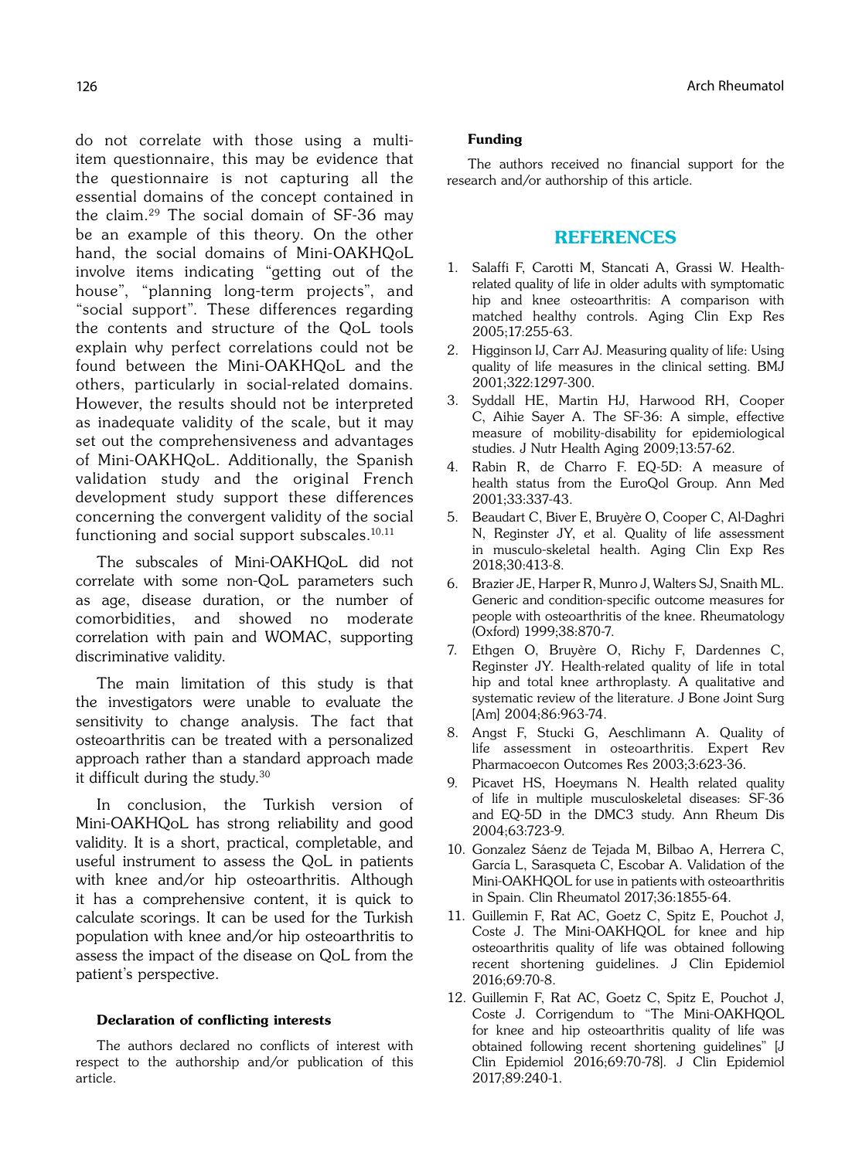do not correlate with those using a multiitem questionnaire, this may be evidence that the questionnaire is not capturing all the essential domains of the concept contained in the claim.29 The social domain of SF-36 may be an example of this theory. On the other hand, the social domains of Mini-OAKHQoL involve items indicating "getting out of the house", "planning long-term projects", and "social support". These differences regarding the contents and structure of the QoL tools explain why perfect correlations could not be found between the Mini-OAKHQoL and the others, particularly in social-related domains. However, the results should not be interpreted as inadequate validity of the scale, but it may set out the comprehensiveness and advantages of Mini-OAKHQoL. Additionally, the Spanish validation study and the original French development study support these differences concerning the convergent validity of the social functioning and social support subscales. $10,11$ 

The subscales of Mini-OAKHQoL did not correlate with some non-QoL parameters such as age, disease duration, or the number of comorbidities, and showed no moderate correlation with pain and WOMAC, supporting discriminative validity.

The main limitation of this study is that the investigators were unable to evaluate the sensitivity to change analysis. The fact that osteoarthritis can be treated with a personalized approach rather than a standard approach made it difficult during the study.30

In conclusion, the Turkish version of Mini-OAKHQoL has strong reliability and good validity. It is a short, practical, completable, and useful instrument to assess the QoL in patients with knee and/or hip osteoarthritis. Although it has a comprehensive content, it is quick to calculate scorings. It can be used for the Turkish population with knee and/or hip osteoarthritis to assess the impact of the disease on QoL from the patient's perspective.

#### Declaration of conflicting interests

The authors declared no conflicts of interest with respect to the authorship and/or publication of this article.

#### Funding

The authors received no financial support for the research and/or authorship of this article.

## REFERENCES

- 1. Salaffi F, Carotti M, Stancati A, Grassi W. Healthrelated quality of life in older adults with symptomatic hip and knee osteoarthritis: A comparison with matched healthy controls. Aging Clin Exp Res 2005;17:255-63.
- 2. Higginson IJ, Carr AJ. Measuring quality of life: Using quality of life measures in the clinical setting. BMJ 2001;322:1297-300.
- 3. Syddall HE, Martin HJ, Harwood RH, Cooper C, Aihie Sayer A. The SF-36: A simple, effective measure of mobility-disability for epidemiological studies. J Nutr Health Aging 2009;13:57-62.
- 4. Rabin R, de Charro F. EQ-5D: A measure of health status from the EuroQol Group. Ann Med 2001;33:337-43.
- 5. Beaudart C, Biver E, Bruyère O, Cooper C, Al-Daghri N, Reginster JY, et al. Quality of life assessment in musculo-skeletal health. Aging Clin Exp Res 2018;30:413-8.
- 6. Brazier JE, Harper R, Munro J, Walters SJ, Snaith ML. Generic and condition-specific outcome measures for people with osteoarthritis of the knee. Rheumatology (Oxford) 1999;38:870-7.
- 7. Ethgen O, Bruyère O, Richy F, Dardennes C, Reginster JY. Health-related quality of life in total hip and total knee arthroplasty. A qualitative and systematic review of the literature. J Bone Joint Surg [Am] 2004;86:963-74.
- 8. Angst F, Stucki G, Aeschlimann A. Quality of life assessment in osteoarthritis. Expert Rev Pharmacoecon Outcomes Res 2003;3:623-36.
- 9. Picavet HS, Hoeymans N. Health related quality of life in multiple musculoskeletal diseases: SF-36 and EQ-5D in the DMC3 study. Ann Rheum Dis 2004;63:723-9.
- 10. Gonzalez Sáenz de Tejada M, Bilbao A, Herrera C, García L, Sarasqueta C, Escobar A. Validation of the Mini-OAKHQOL for use in patients with osteoarthritis in Spain. Clin Rheumatol 2017;36:1855-64.
- 11. Guillemin F, Rat AC, Goetz C, Spitz E, Pouchot J, Coste J. The Mini-OAKHQOL for knee and hip osteoarthritis quality of life was obtained following recent shortening guidelines. J Clin Epidemiol 2016;69:70-8.
- 12. Guillemin F, Rat AC, Goetz C, Spitz E, Pouchot J, Coste J. Corrigendum to "The Mini-OAKHQOL for knee and hip osteoarthritis quality of life was obtained following recent shortening guidelines" [J Clin Epidemiol 2016;69:70-78]. J Clin Epidemiol 2017;89:240-1.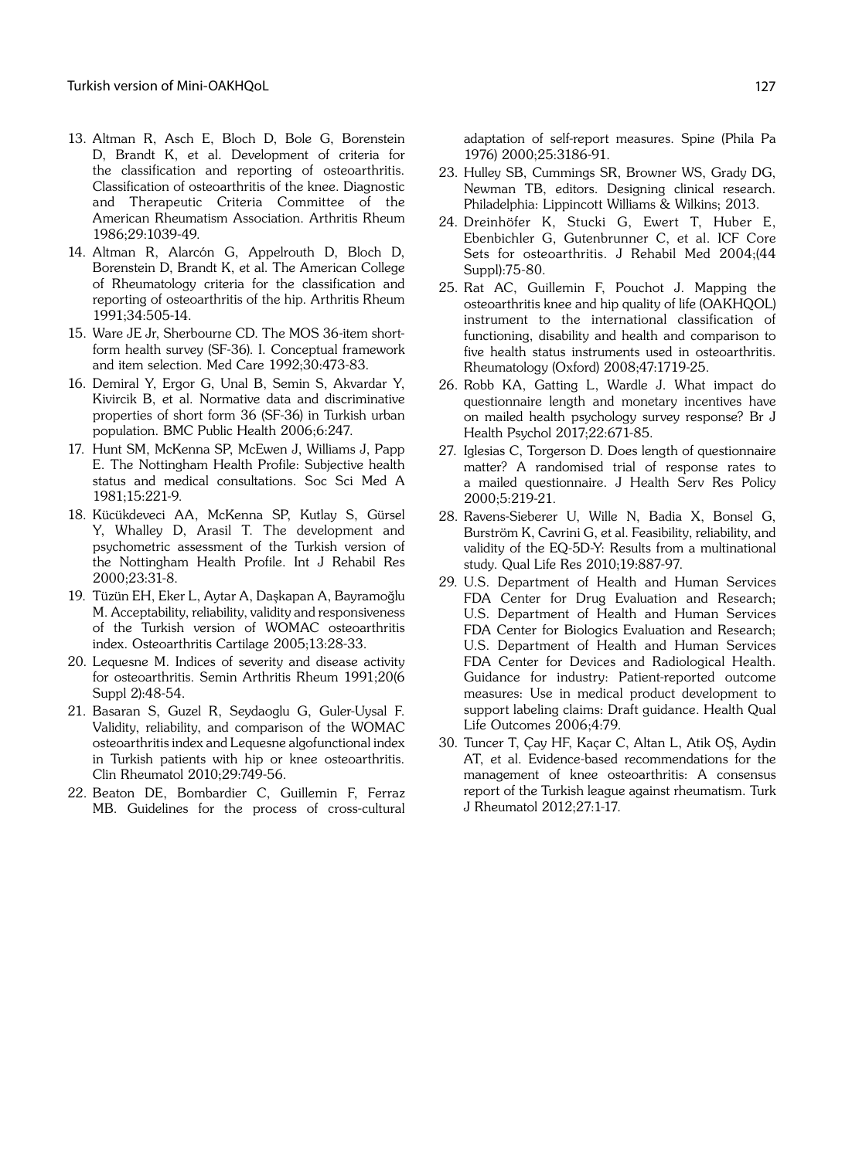- 13. Altman R, Asch E, Bloch D, Bole G, Borenstein D, Brandt K, et al. Development of criteria for the classification and reporting of osteoarthritis. Classification of osteoarthritis of the knee. Diagnostic and Therapeutic Criteria Committee of the American Rheumatism Association. Arthritis Rheum 1986;29:1039-49.
- 14. Altman R, Alarcón G, Appelrouth D, Bloch D, Borenstein D, Brandt K, et al. The American College of Rheumatology criteria for the classification and reporting of osteoarthritis of the hip. Arthritis Rheum 1991;34:505-14.
- 15. Ware JE Jr, Sherbourne CD. The MOS 36-item shortform health survey (SF-36). I. Conceptual framework and item selection. Med Care 1992;30:473-83.
- 16. Demiral Y, Ergor G, Unal B, Semin S, Akvardar Y, Kivircik B, et al. Normative data and discriminative properties of short form 36 (SF-36) in Turkish urban population. BMC Public Health 2006;6:247.
- 17. Hunt SM, McKenna SP, McEwen J, Williams J, Papp E. The Nottingham Health Profile: Subjective health status and medical consultations. Soc Sci Med A 1981;15:221-9.
- 18. Kücükdeveci AA, McKenna SP, Kutlay S, Gürsel Y, Whalley D, Arasil T. The development and psychometric assessment of the Turkish version of the Nottingham Health Profile. Int J Rehabil Res 2000;23:31-8.
- 19. Tüzün EH, Eker L, Aytar A, Daşkapan A, Bayramoğlu M. Acceptability, reliability, validity and responsiveness of the Turkish version of WOMAC osteoarthritis index. Osteoarthritis Cartilage 2005;13:28-33.
- 20. Lequesne M. Indices of severity and disease activity for osteoarthritis. Semin Arthritis Rheum 1991;20(6 Suppl 2):48-54.
- 21. Basaran S, Guzel R, Seydaoglu G, Guler-Uysal F. Validity, reliability, and comparison of the WOMAC osteoarthritis index and Lequesne algofunctional index in Turkish patients with hip or knee osteoarthritis. Clin Rheumatol 2010;29:749-56.
- 22. Beaton DE, Bombardier C, Guillemin F, Ferraz MB. Guidelines for the process of cross-cultural

adaptation of self-report measures. Spine (Phila Pa 1976) 2000;25:3186-91.

- 23. Hulley SB, Cummings SR, Browner WS, Grady DG, Newman TB, editors. Designing clinical research. Philadelphia: Lippincott Williams & Wilkins; 2013.
- 24. Dreinhöfer K, Stucki G, Ewert T, Huber E, Ebenbichler G, Gutenbrunner C, et al. ICF Core Sets for osteoarthritis. J Rehabil Med 2004;(44 Suppl):75-80.
- 25. Rat AC, Guillemin F, Pouchot J. Mapping the osteoarthritis knee and hip quality of life (OAKHQOL) instrument to the international classification of functioning, disability and health and comparison to five health status instruments used in osteoarthritis. Rheumatology (Oxford) 2008;47:1719-25.
- 26. Robb KA, Gatting L, Wardle J. What impact do questionnaire length and monetary incentives have on mailed health psychology survey response? Br J Health Psychol 2017;22:671-85.
- 27. Iglesias C, Torgerson D. Does length of questionnaire matter? A randomised trial of response rates to a mailed questionnaire. J Health Serv Res Policy 2000;5:219-21.
- 28. Ravens-Sieberer U, Wille N, Badia X, Bonsel G, Burström K, Cavrini G, et al. Feasibility, reliability, and validity of the EQ-5D-Y: Results from a multinational study. Qual Life Res 2010;19:887-97.
- 29. U.S. Department of Health and Human Services FDA Center for Drug Evaluation and Research; U.S. Department of Health and Human Services FDA Center for Biologics Evaluation and Research; U.S. Department of Health and Human Services FDA Center for Devices and Radiological Health. Guidance for industry: Patient-reported outcome measures: Use in medical product development to support labeling claims: Draft guidance. Health Qual Life Outcomes 2006;4:79.
- 30. Tuncer T, Çay HF, Kaçar C, Altan L, Atik OŞ, Aydin AT, et al. Evidence-based recommendations for the management of knee osteoarthritis: A consensus report of the Turkish league against rheumatism. Turk J Rheumatol 2012;27:1-17.